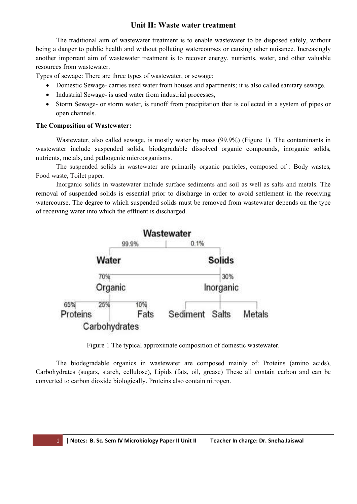# **Unit II: Waste water treatment**

The traditional aim of wastewater treatment is to enable wastewater to be disposed safely, without being a danger to public health and without polluting watercourses or causing other nuisance. Increasingly another important aim of wastewater treatment is to recover energy, nutrients, water, and other valuable resources from wastewater.

Types of sewage: There are three types of wastewater, or sewage:

- Domestic Sewage- carries used water from houses and apartments; it is also called sanitary sewage.
- Industrial Sewage- is used water from industrial processes,
- Storm Sewage- or storm water, is runoff from precipitation that is collected in a system of pipes or open channels.

#### **The Composition of Wastewater:**

Wastewater, also called sewage, is mostly water by mass (99.9%) (Figure 1). The contaminants in wastewater include suspended solids, biodegradable dissolved organic compounds, inorganic solids, nutrients, metals, and pathogenic microorganisms.

The suspended solids in wastewater are primarily organic particles, composed of : Body wastes, Food waste, Toilet paper.

Inorganic solids in wastewater include surface sediments and soil as well as salts and metals. The removal of suspended solids is essential prior to discharge in order to avoid settlement in the receiving watercourse. The degree to which suspended solids must be removed from wastewater depends on the type of receiving water into which the effluent is discharged.



Figure 1 The typical approximate composition of domestic wastewater.

The biodegradable organics in wastewater are composed mainly of: Proteins (amino acids), Carbohydrates (sugars, starch, cellulose), Lipids (fats, oil, grease) These all contain carbon and can be converted to carbon dioxide biologically. Proteins also contain nitrogen.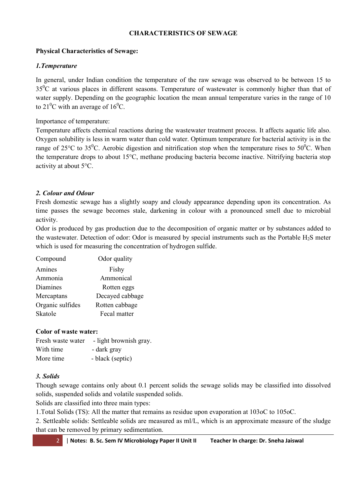# **CHARACTERISTICS OF SEWAGE**

# **Physical Characteristics of Sewage:**

# *1.Temperature*

In general, under Indian condition the temperature of the raw sewage was observed to be between 15 to  $35^0C$  at various places in different seasons. Temperature of wastewater is commonly higher than that of water supply. Depending on the geographic location the mean annual temperature varies in the range of 10 to 21<sup>0</sup>C with an average of 16<sup>0</sup>C.

Importance of temperature:

Temperature affects chemical reactions during the wastewater treatment process. It affects aquatic life also. Oxygen solubility is less in warm water than cold water. Optimum temperature for bacterial activity is in the range of 25°C to 35°C. Aerobic digestion and nitrification stop when the temperature rises to 50°C. When the temperature drops to about 15°C, methane producing bacteria become inactive. Nitrifying bacteria stop activity at about 5°C.

# *2. Colour and Odour*

Fresh domestic sewage has a slightly soapy and cloudy appearance depending upon its concentration. As time passes the sewage becomes stale, darkening in colour with a pronounced smell due to microbial activity.

Odor is produced by gas production due to the decomposition of organic matter or by substances added to the wastewater. Detection of odor: Odor is measured by special instruments such as the Portable  $H_2S$  meter which is used for measuring the concentration of hydrogen sulfide.

| Compound         | Odor quality    |
|------------------|-----------------|
| Amines           | Fishy           |
| Ammonia          | Ammonical       |
| Diamines         | Rotten eggs     |
| Mercaptans       | Decayed cabbage |
| Organic sulfides | Rotten cabbage  |
| Skatole          | Fecal matter    |

# **Color of waste water:**

| Fresh waste water | - light brownish gray. |
|-------------------|------------------------|
| With time         | - dark gray            |
| More time         | - black (septic)       |

# *3. Solids*

Though sewage contains only about 0.1 percent solids the sewage solids may be classified into dissolved solids, suspended solids and volatile suspended solids.

Solids are classified into three main types:

1.Total Solids (TS): All the matter that remains as residue upon evaporation at 103oC to 105oC.

2. Settleable solids: Settleable solids are measured as ml/L, which is an approximate measure of the sludge that can be removed by primary sedimentation.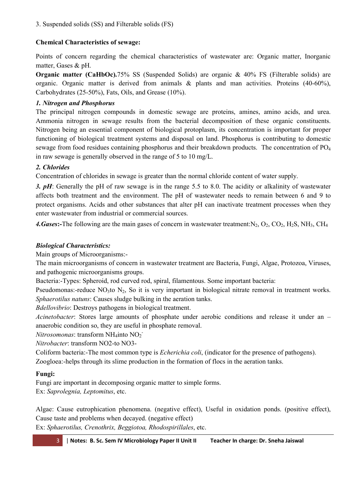3. Suspended solids (SS) and Filterable solids (FS)

# **Chemical Characteristics of sewage:**

Points of concern regarding the chemical characteristics of wastewater are: Organic matter, Inorganic matter, Gases & pH.

**Organic matter (CaHbOc).**75% SS (Suspended Solids) are organic & 40% FS (Filterable solids) are organic. Organic matter is derived from animals & plants and man activities. Proteins (40-60%), Carbohydrates (25-50%), Fats, Oils, and Grease (10%).

# *1. Nitrogen and Phosphorus*

The principal nitrogen compounds in domestic sewage are proteins, amines, amino acids, and urea. Ammonia nitrogen in sewage results from the bacterial decomposition of these organic constituents. Nitrogen being an essential component of biological protoplasm, its concentration is important for proper functioning of biological treatment systems and disposal on land. Phosphorus is contributing to domestic sewage from food residues containing phosphorus and their breakdown products. The concentration of PO4 in raw sewage is generally observed in the range of 5 to 10 mg/L.

# *2. Chlorides*

Concentration of chlorides in sewage is greater than the normal chloride content of water supply.

*3. pH*: Generally the pH of raw sewage is in the range 5.5 to 8.0. The acidity or alkalinity of wastewater affects both treatment and the environment. The pH of wastewater needs to remain between 6 and 9 to protect organisms. Acids and other substances that alter pH can inactivate treatment processes when they enter wastewater from industrial or commercial sources.

4. Gases:-The following are the main gases of concern in wastewater treatment: $N_2$ ,  $O_2$ ,  $CO_2$ ,  $H_2S$ ,  $NH_3$ ,  $CH_4$ 

# *Biological Characteristics:*

Main groups of Microorganisms:-

The main microorganisms of concern in wastewater treatment are Bacteria, Fungi, Algae, Protozoa, Viruses, and pathogenic microorganisms groups.

Bacteria:-Types: Spheroid, rod curved rod, spiral, filamentous. Some important bacteria:

Pseudomonas:-reduce  $NO<sub>3</sub>$ to  $N<sub>2</sub>$ , So it is very important in biological nitrate removal in treatment works. *Sphaerotilus natuns*: Causes sludge bulking in the aeration tanks.

*Bdellovibrio*: Destroys pathogens in biological treatment.

*Acinetobacter*: Stores large amounts of phosphate under aerobic conditions and release it under an – anaerobic condition so, they are useful in phosphate removal.

*Nitrosomonas*: transform NH<sub>4</sub>into NO<sub>2</sub><sup>-</sup>

*Nitrobacter*: transform NO2-to NO3-

Coliform bacteria:-The most common type is *Echerichia coli*, (indicator for the presence of pathogens). Zoogloea:-helps through its slime production in the formation of flocs in the aeration tanks.

# **Fungi:**

Fungi are important in decomposing organic matter to simple forms. Ex: *Saprolegnia, Leptomitus*, etc.

Algae: Cause eutrophication phenomena. (negative effect), Useful in oxidation ponds. (positive effect), Cause taste and problems when decayed. (negative effect) Ex: *Sphaerotilus, Crenothrix, Beggiotoa, Rhodospirillales*, etc.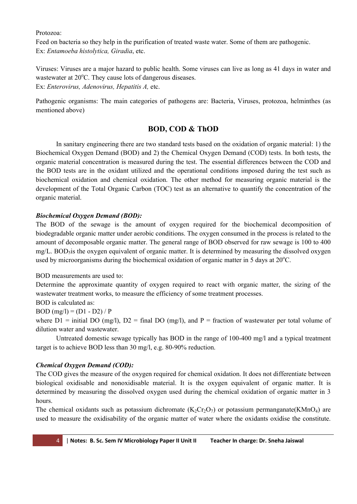Protozoa:

Feed on bacteria so they help in the purification of treated waste water. Some of them are pathogenic. Ex: *Entamoeba histolytica, Giradia*, etc.

Viruses: Viruses are a major hazard to public health. Some viruses can live as long as 41 days in water and wastewater at  $20^{\circ}$ C. They cause lots of dangerous diseases. Ex: *Enterovirus, Adenovirus, Hepatitis A,* etc.

Pathogenic organisms: The main categories of pathogens are: Bacteria, Viruses, protozoa, helminthes (as mentioned above)

# **BOD, COD & ThOD**

In sanitary engineering there are two standard tests based on the oxidation of organic material: 1) the Biochemical Oxygen Demand (BOD) and 2) the Chemical Oxygen Demand (COD) tests. In both tests, the organic material concentration is measured during the test. The essential differences between the COD and the BOD tests are in the oxidant utilized and the operational conditions imposed during the test such as biochemical oxidation and chemical oxidation. The other method for measuring organic material is the development of the Total Organic Carbon (TOC) test as an alternative to quantify the concentration of the organic material.

# *Biochemical Oxygen Demand (BOD):*

The BOD of the sewage is the amount of oxygen required for the biochemical decomposition of biodegradable organic matter under aerobic conditions. The oxygen consumed in the process is related to the amount of decomposable organic matter. The general range of BOD observed for raw sewage is 100 to 400  $mg/L$ . BOD<sub>5</sub> is the oxygen equivalent of organic matter. It is determined by measuring the dissolved oxygen used by microorganisms during the biochemical oxidation of organic matter in 5 days at  $20^{\circ}$ C.

# BOD measurements are used to:

Determine the approximate quantity of oxygen required to react with organic matter, the sizing of the wastewater treatment works, to measure the efficiency of some treatment processes.

#### BOD is calculated as: BOD  $(mg/l) = (D1 - D2)/P$

where  $D1$  = initial DO (mg/l),  $D2$  = final DO (mg/l), and P = fraction of wastewater per total volume of dilution water and wastewater.

Untreated domestic sewage typically has BOD in the range of 100-400 mg/l and a typical treatment target is to achieve BOD less than 30 mg/l, e.g. 80-90% reduction.

# *Chemical Oxygen Demand (COD):*

The COD gives the measure of the oxygen required for chemical oxidation. It does not differentiate between biological oxidisable and nonoxidisable material. It is the oxygen equivalent of organic matter. It is determined by measuring the dissolved oxygen used during the chemical oxidation of organic matter in 3 hours.

The chemical oxidants such as potassium dichromate  $(K_2Cr_2O_7)$  or potassium permanganate(KMnO<sub>4</sub>) are used to measure the oxidisability of the organic matter of water where the oxidants oxidise the constitute.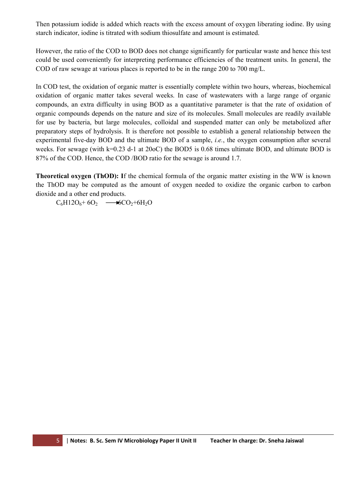Then potassium iodide is added which reacts with the excess amount of oxygen liberating iodine. By using starch indicator, iodine is titrated with sodium thiosulfate and amount is estimated.

However, the ratio of the COD to BOD does not change significantly for particular waste and hence this test could be used conveniently for interpreting performance efficiencies of the treatment units. In general, the COD of raw sewage at various places is reported to be in the range 200 to 700 mg/L.

In COD test, the oxidation of organic matter is essentially complete within two hours, whereas, biochemical oxidation of organic matter takes several weeks. In case of wastewaters with a large range of organic compounds, an extra difficulty in using BOD as a quantitative parameter is that the rate of oxidation of organic compounds depends on the nature and size of its molecules. Small molecules are readily available for use by bacteria, but large molecules, colloidal and suspended matter can only be metabolized after preparatory steps of hydrolysis. It is therefore not possible to establish a general relationship between the experimental five-day BOD and the ultimate BOD of a sample, *i.e.*, the oxygen consumption after several weeks. For sewage (with k=0.23 d-1 at 20oC) the BOD5 is 0.68 times ultimate BOD, and ultimate BOD is 87% of the COD. Hence, the COD /BOD ratio for the sewage is around 1.7.

**Theoretical oxygen (ThOD): I**f the chemical formula of the organic matter existing in the WW is known the ThOD may be computed as the amount of oxygen needed to oxidize the organic carbon to carbon dioxide and a other end products.

 $C_6H12O_6 + 6O_2$   $\longrightarrow$   $C_2+6H_2O$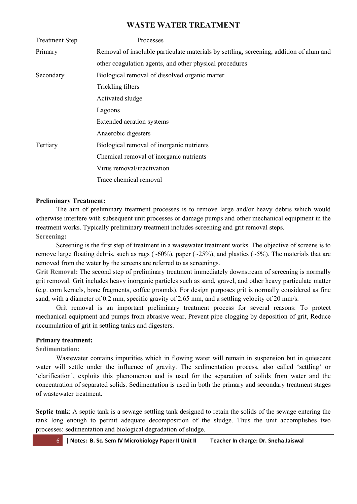# **WASTE WATER TREATMENT**

| <b>Treatment Step</b> | Processes                                                                               |
|-----------------------|-----------------------------------------------------------------------------------------|
| Primary               | Removal of insoluble particulate materials by settling, screening, addition of alum and |
|                       | other coagulation agents, and other physical procedures                                 |
| Secondary             | Biological removal of dissolved organic matter                                          |
|                       | Trickling filters                                                                       |
|                       | Activated sludge                                                                        |
|                       | Lagoons                                                                                 |
|                       | Extended aeration systems                                                               |
|                       | Anaerobic digesters                                                                     |
| Tertiary              | Biological removal of inorganic nutrients                                               |
|                       | Chemical removal of inorganic nutrients                                                 |
|                       | Virus removal/inactivation                                                              |
|                       | Trace chemical removal                                                                  |

### **Preliminary Treatment:**

The aim of preliminary treatment processes is to remove large and/or heavy debris which would otherwise interfere with subsequent unit processes or damage pumps and other mechanical equipment in the treatment works. Typically preliminary treatment includes screening and grit removal steps. **Screening:**

Screening is the first step of treatment in a wastewater treatment works. The objective of screens is to remove large floating debris, such as rags ( $\sim 60\%$ ), paper ( $\sim 25\%$ ), and plastics ( $\sim 5\%$ ). The materials that are removed from the water by the screens are referred to as screenings.

**Grit Removal:** The second step of preliminary treatment immediately downstream of screening is normally grit removal. Grit includes heavy inorganic particles such as sand, gravel, and other heavy particulate matter (e.g. corn kernels, bone fragments, coffee grounds). For design purposes grit is normally considered as fine sand, with a diameter of 0.2 mm, specific gravity of 2.65 mm, and a settling velocity of 20 mm/s.

Grit removal is an important preliminary treatment process for several reasons: To protect mechanical equipment and pumps from abrasive wear, Prevent pipe clogging by deposition of grit, Reduce accumulation of grit in settling tanks and digesters.

# **Primary treatment:**

**Sedimentation:**

Wastewater contains impurities which in flowing water will remain in suspension but in quiescent water will settle under the influence of gravity. The sedimentation process, also called 'settling' or 'clarification', exploits this phenomenon and is used for the separation of solids from water and the concentration of separated solids. Sedimentation is used in both the primary and secondary treatment stages of wastewater treatment.

**Septic tank**: A septic tank is a sewage settling tank designed to retain the solids of the sewage entering the tank long enough to permit adequate decomposition of the sludge. Thus the unit accomplishes two processes: sedimentation and biological degradation of sludge.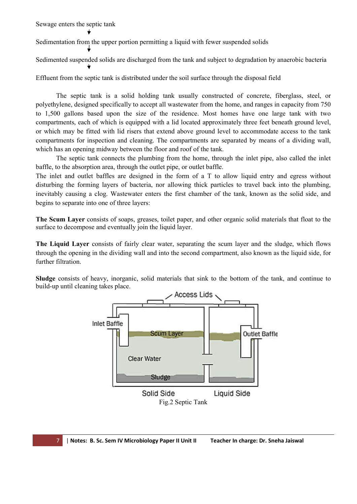Sewage enters the septic tank

Sedimentation from the upper portion permitting a liquid with fewer suspended solids

Sedimented suspended solids are discharged from the tank and subject to degradation by anaerobic bacteria

Effluent from the septic tank is distributed under the soil surface through the disposal field

The septic tank is a solid holding tank usually constructed of concrete, fiberglass, steel, or polyethylene, designed specifically to accept all wastewater from the home, and ranges in capacity from 750 to 1,500 gallons based upon the size of the residence. Most homes have one large tank with two compartments, each of which is equipped with a lid located approximately three feet beneath ground level, or which may be fitted with lid risers that extend above ground level to accommodate access to the tank compartments for inspection and cleaning. The compartments are separated by means of a dividing wall, which has an opening midway between the floor and roof of the tank.

The septic tank connects the plumbing from the home, through the inlet pipe, also called the inlet baffle, to the absorption area, through the outlet pipe, or outlet baffle.

The inlet and outlet baffles are designed in the form of a T to allow liquid entry and egress without disturbing the forming layers of bacteria, nor allowing thick particles to travel back into the plumbing, inevitably causing a clog. Wastewater enters the first chamber of the tank, known as the solid side, and begins to separate into one of three layers:

**The Scum Layer** consists of soaps, greases, toilet paper, and other organic solid materials that float to the surface to decompose and eventually join the liquid layer.

**The Liquid Layer** consists of fairly clear water, separating the scum layer and the sludge, which flows through the opening in the dividing wall and into the second compartment, also known as the liquid side, for further filtration.

**Sludge** consists of heavy, inorganic, solid materials that sink to the bottom of the tank, and continue to build-up until cleaning takes place.

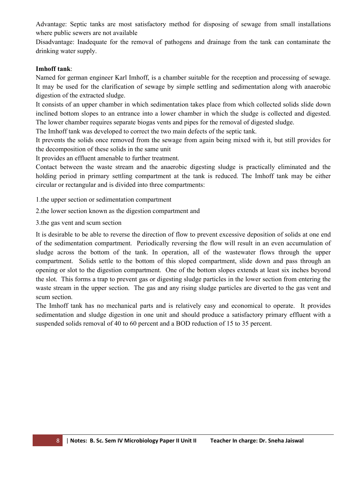Advantage: Septic tanks are most satisfactory method for disposing of sewage from small installations where public sewers are not available

Disadvantage: Inadequate for the removal of pathogens and drainage from the tank can contaminate the drinking water supply.

#### **Imhoff tank**:

Named for german engineer Karl Imhoff, is a chamber suitable for the reception and processing of sewage. It may be used for the clarification of sewage by simple settling and sedimentation along with anaerobic digestion of the extracted sludge.

It consists of an upper chamber in which sedimentation takes place from which collected solids slide down inclined bottom slopes to an entrance into a lower chamber in which the sludge is collected and digested. The lower chamber requires separate biogas vents and pipes for the removal of digested sludge.

The Imhoff tank was developed to correct the two main defects of the septic tank.

It prevents the solids once removed from the sewage from again being mixed with it, but still provides for the decomposition of these solids in the same unit

It provides an effluent amenable to further treatment.

Contact between the waste stream and the anaerobic digesting sludge is practically eliminated and the holding period in primary settling compartment at the tank is reduced. The Imhoff tank may be either circular or rectangular and is divided into three compartments:

1.the upper section or sedimentation compartment

2.the lower section known as the digestion compartment and

3.the gas vent and scum section

It is desirable to be able to reverse the direction of flow to prevent excessive deposition of solids at one end of the sedimentation compartment. Periodically reversing the flow will result in an even accumulation of sludge across the bottom of the tank. In operation, all of the wastewater flows through the upper compartment. Solids settle to the bottom of this sloped compartment, slide down and pass through an opening or slot to the digestion compartment. One of the bottom slopes extends at least six inches beyond the slot. This forms a trap to prevent gas or digesting sludge particles in the lower section from entering the waste stream in the upper section. The gas and any rising sludge particles are diverted to the gas vent and scum section.

The Imhoff tank has no mechanical parts and is relatively easy and economical to operate. It provides sedimentation and sludge digestion in one unit and should produce a satisfactory primary effluent with a suspended solids removal of 40 to 60 percent and a BOD reduction of 15 to 35 percent.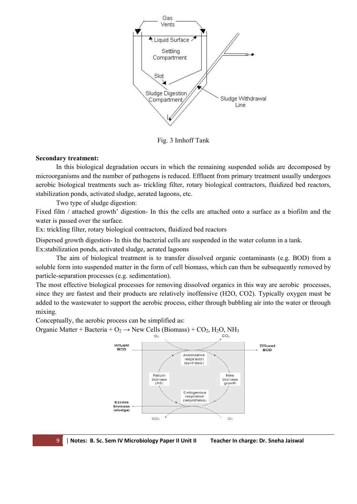

#### **Secondary treatment:**

In this biological degradation occurs in which the remaining suspended solids are decomposed by microorganisms and the number of pathogens is reduced. Effluent from primary treatment usually undergoes In this biological degradation occurs in which the remaining suspended solids are decomposed by microorganisms and the number of pathogens is reduced. Effluent from primary treatment usually undergoes aerobic biological tr stabilization ponds, activated sludge, aerated lagoons, etc.

Two type of sludge digestion:

stabilization ponds, activated sludge, aerated lagoons, etc.<br>Two type of sludge digestion:<br>Fixed film / attached growth' digestion- In this the cells are attached onto a surface as a biofilm and the water is passed over the surface.

Ex: trickling filter, rotary biological contractors, fluidized bed reactors

Dispersed growth digestion- In this the bacterial cells are suspended in the water column in a tank. Ex:stabilization ponds, activated sludge, aerated lagoons ed growth digestion- In this the bacterial cells are suspended in the water column in a tank.<br>ilization ponds, activated sludge, aerated lagoons<br>The aim of biological treatment is to transfer dissolved organic contaminants

soluble form into suspended matter in the form of cell biomass, which can then be subsequently removed by particle-separation processes (e.g. sedimentation). soluble form into suspended matter in the form of cell biomass, which can then be subsequently removed by<br>particle-separation processes (e.g. sedimentation).<br>The most effective biological processes for removing dissolved o

since they are fastest and their products are relatively inoffensive (H2O, CO2). Typically oxygen must be added to the wastewater to support the aerobic process, either through bubbling air into the water or through mixing.<br>Conceptually, the aerobic process can be simplified as:<br>Organic Matter + Bacteria + O<sub>2</sub> → New Cells (B mixing. iological treatments such as- trickling filter, rotary biological contractors, fluidized<br>ion ponds, activated sludge, aerated lagoons, etc.<br>wo type of sludge digestion:<br> $\ln /$  attached growth' digestion- In this the cells a

Conceptually, the aerobic process can be simplified as:

Organic Matter + Bacteria + O<sub>2</sub>  $\rightarrow$  New Cells (Biomass) + CO<sub>2</sub>, H<sub>2</sub>O, NH<sub>3</sub>

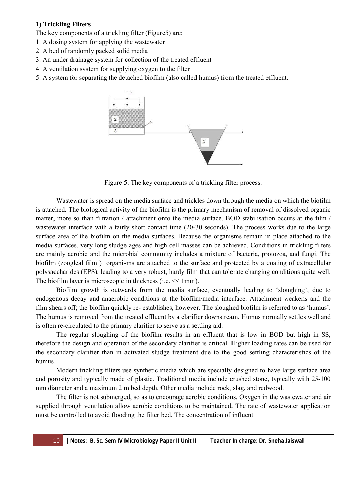### **1) Trickling Filters**

The key components of a trickling filter (Figure5) are:

- 1. A dosing system for applying the wastewater
- 2. A bed of randomly packed solid media
- 3. An under drainage system for collection of the treated effluent
- 4. A ventilation system for supplying oxygen to the filter
- 5. A system for separating the detached biofilm (also called humus) from the treated effluent.



Figure 5. The key components of a trickling filter process.

Wastewater is spread on the media surface and trickles down through the media on which the biofilm is attached. The biological activity of the biofilm is the primary mechanism of removal of dissolved organic matter, more so than filtration / attachment onto the media surface. BOD stabilisation occurs at the film / wastewater interface with a fairly short contact time (20-30 seconds). The process works due to the large surface area of the biofilm on the media surfaces. Because the organisms remain in place attached to the media surfaces, very long sludge ages and high cell masses can be achieved. Conditions in trickling filters are mainly aerobic and the microbial community includes a mixture of bacteria, protozoa, and fungi. The biofilm (zoogleal film ) organisms are attached to the surface and protected by a coating of extracellular polysaccharides (EPS), leading to a very robust, hardy film that can tolerate changing conditions quite well. The biofilm layer is microscopic in thickness (i.e.  $\leq 1$ mm).

Biofilm growth is outwards from the media surface, eventually leading to 'sloughing', due to endogenous decay and anaerobic conditions at the biofilm/media interface. Attachment weakens and the film shears off; the biofilm quickly re- establishes, however. The sloughed biofilm is referred to as 'humus'. The humus is removed from the treated effluent by a clarifier downstream. Humus normally settles well and is often re-circulated to the primary clarifier to serve as a settling aid.

The regular sloughing of the biofilm results in an effluent that is low in BOD but high in SS, therefore the design and operation of the secondary clarifier is critical. Higher loading rates can be used for the secondary clarifier than in activated sludge treatment due to the good settling characteristics of the humus.

Modern trickling filters use synthetic media which are specially designed to have large surface area and porosity and typically made of plastic. Traditional media include crushed stone, typically with 25-100 mm diameter and a maximum 2 m bed depth. Other media include rock, slag, and redwood.

The filter is not submerged, so as to encourage aerobic conditions. Oxygen in the wastewater and air supplied through ventilation allow aerobic conditions to be maintained. The rate of wastewater application must be controlled to avoid flooding the filter bed. The concentration of influent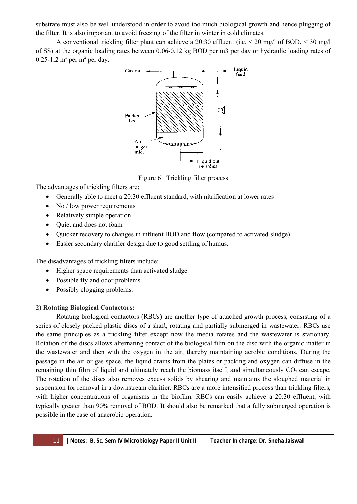substrate must also be well understood in order to avoid too much biological growth and hence plugging of the filter. It is also important to avoid freezing of the filter in winter in cold climates.

A conventional trickling filter plant can achieve a 20:30 effluent (i.e.  $\leq$  20 mg/l of BOD,  $\leq$  30 mg/l of SS) at the organic loading rates between 0.06-0.12 kg BOD per m3 per day or hydraulic loading rates of  $0.25$ -1.2 m<sup>3</sup> per m<sup>2</sup> per day.



Figure 6. Trickling filter process

The advantages of trickling filters are:

- Generally able to meet a 20:30 effluent standard, with nitrification at lower rates
- $\bullet$  No / low power requirements
- Relatively simple operation
- Quiet and does not foam
- Quicker recovery to changes in influent BOD and flow (compared to activated sludge)
- Easier secondary clarifier design due to good settling of humus.

The disadvantages of trickling filters include:

- Higher space requirements than activated sludge
- Possible fly and odor problems
- Possibly clogging problems.

#### **2) Rotating Biological Contactors:**

Rotating biological contactors (RBCs) are another type of attached growth process, consisting of a series of closely packed plastic discs of a shaft, rotating and partially submerged in wastewater. RBCs use the same principles as a trickling filter except now the media rotates and the wastewater is stationary. Rotation of the discs allows alternating contact of the biological film on the disc with the organic matter in the wastewater and then with the oxygen in the air, thereby maintaining aerobic conditions. During the passage in the air or gas space, the liquid drains from the plates or packing and oxygen can diffuse in the remaining thin film of liquid and ultimately reach the biomass itself, and simultaneously  $CO<sub>2</sub>$  can escape. The rotation of the discs also removes excess solids by shearing and maintains the sloughed material in suspension for removal in a downstream clarifier. RBCs are a more intensified process than trickling filters, with higher concentrations of organisms in the biofilm. RBCs can easily achieve a 20:30 effluent, with typically greater than 90% removal of BOD. It should also be remarked that a fully submerged operation is possible in the case of anaerobic operation.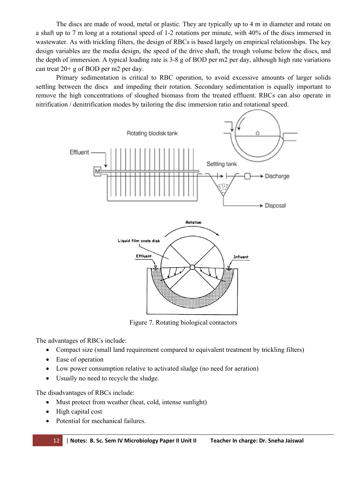The discs are made of wood, metal or plastic. They are typically up to 4 m in diameter and rotate on a shaft up to 7 m long at a rotational speed of 1-2 rotations per minute, with 40% of the discs immersed in wastewater. As with trickling filters, the design of RBCs is based largely on empirical relationships. The key design variables are the media design, the speed of the drive shaft, the trough volume below the discs, and the depth of immersion. A typical loading rate is 3-8 g of BOD per m2 per day, although high rate variations can treat 20+ g of BOD per m2 per day.

Primary sedimentation is critical to RBC operation, to avoid excessive amounts of larger solids settling between the discs and impeding their rotation. Secondary sedimentation is equally important to remove the high concentrations of sloughed biomass from the treated effluent. RBCs can also operate in nitrification / denitrification modes by tailoring the disc immersion ratio and rotational speed.



Figure 7. Rotating biological contactors

The advantages of RBCs include:

- Compact size (small land requirement compared to equivalent treatment by trickling filters)
- Ease of operation
- Low power consumption relative to activated sludge (no need for aeration)
- Usually no need to recycle the sludge.

The disadvantages of RBCs include:

- Must protect from weather (heat, cold, intense sunlight)
- High capital cost
- Potential for mechanical failures.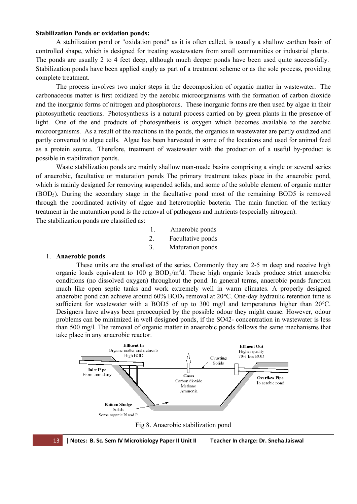#### **Stabilization Ponds or oxidation ponds:**

A stabilization pond or "oxidation pond" as it is often called, is usually a shallow earthen basin of controlled shape, which is designed for treating wastewaters from small communities or industrial plants. The ponds are usually 2 to 4 feet deep, although much deeper ponds have been used quite successfully. Stabilization ponds have been applied singly as part of a treatment scheme or as the sole process, providing complete treatment.

The process involves two major steps in the decomposition of organic matter in wastewater. The carbonaceous matter is first oxidized by the aerobic microorganisms with the formation of carbon dioxide and the inorganic forms of nitrogen and phosphorous. These inorganic forms are then used by algae in their photosynthetic reactions. Photosynthesis is a natural process carried on by green plants in the presence of light. One of the end products of photosynthesis is oxygen which becomes available to the aerobic microorganisms. As a result of the reactions in the ponds, the organics in wastewater are partly oxidized and partly converted to algae cells. Algae has been harvested in some of the locations and used for animal feed as a protein source. Therefore, treatment of wastewater with the production of a useful by-product is possible in stabilization ponds.

Waste stabilization ponds are mainly shallow man-made basins comprising a single or several series of anaerobic, facultative or maturation ponds The primary treatment takes place in the anaerobic pond, which is mainly designed for removing suspended solids, and some of the soluble element of organic matter (BOD5). During the secondary stage in the facultative pond most of the remaining BOD5 is removed through the coordinated activity of algae and heterotrophic bacteria. The main function of the tertiary treatment in the maturation pond is the removal of pathogens and nutrients (especially nitrogen). The stabilization ponds are classified as:

- 1. Anaerobic ponds
- 2. Facultative ponds
- 3. Maturation ponds

#### 1. **Anaerobic ponds**

These units are the smallest of the series. Commonly they are 2-5 m deep and receive high organic loads equivalent to 100 g  $BOD_5/m^3d$ . These high organic loads produce strict anaerobic conditions (no dissolved oxygen) throughout the pond. In general terms, anaerobic ponds function much like open septic tanks and work extremely well in warm climates. A properly designed anaerobic pond can achieve around  $60\% BOD_5$  removal at  $20\degree$ C. One-day hydraulic retention time is sufficient for wastewater with a BOD5 of up to 300 mg/l and temperatures higher than 20°C. Designers have always been preoccupied by the possible odour they might cause. However, odour problems can be minimized in well designed ponds, if the SO42- concentration in wastewater is less than 500 mg/l. The removal of organic matter in anaerobic ponds follows the same mechanisms that take place in any anaerobic reactor.



Fig 8. Anaerobic stabilization pond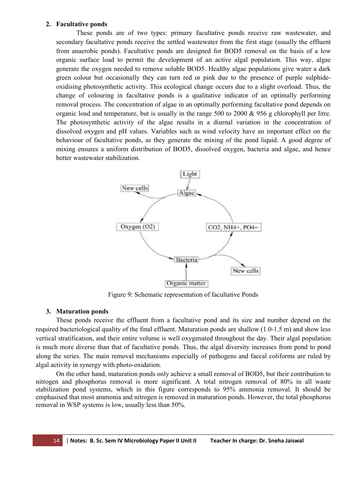#### **2. Facultative ponds**

These ponds are of two types: primary facultative ponds receive raw wastewater, and secondary facultative ponds receive the settled wastewater from the first stage (usually the effluent from anaerobic ponds). Facultative ponds are designed for BOD5 removal on the basis of a low organic surface load to permit the development of an active algal population. This way, algae generate the oxygen needed to remove soluble BOD5. Healthy algae populations give water a dark green colour but occasionally they can turn red or pink due to the presence of purple sulphideoxidising photosynthetic activity. This ecological change occurs due to a slight overload. Thus, the change of colouring in facultative ponds is a qualitative indicator of an optimally performing removal process. The concentration of algae in an optimally performing facultative pond depends on organic load and temperature, but is usually in the range 500 to 2000 & 956 g chlorophyll per litre. The photosynthetic activity of the algae results in a diurnal variation in the concentration of dissolved oxygen and pH values. Variables such as wind velocity have an important effect on the behaviour of facultative ponds, as they generate the mixing of the pond liquid. A good degree of mixing ensures a uniform distribution of BOD5, dissolved oxygen, bacteria and algae, and hence better wastewater stabilization.



Figure 9: Schematic representation of facultative Ponds

#### **3. Maturation ponds**

These ponds receive the effluent from a facultative pond and its size and number depend on the required bacteriological quality of the final effluent. Maturation ponds are shallow (1.0-1.5 m) and show less vertical stratification, and their entire volume is well oxygenated throughout the day. Their algal population is much more diverse than that of facultative ponds. Thus, the algal diversity increases from pond to pond along the series. The main removal mechanisms especially of pathogens and faecal coliforms are ruled by algal activity in synergy with photo-oxidation.

On the other hand, maturation ponds only achieve a small removal of BOD5, but their contribution to nitrogen and phosphorus removal is more significant. A total nitrogen removal of 80% in all waste stabilization pond systems, which in this figure corresponds to 95% ammonia removal. It should be emphasised that most ammonia and nitrogen is removed in maturation ponds. However, the total phosphorus removal in WSP systems is low, usually less than 50%.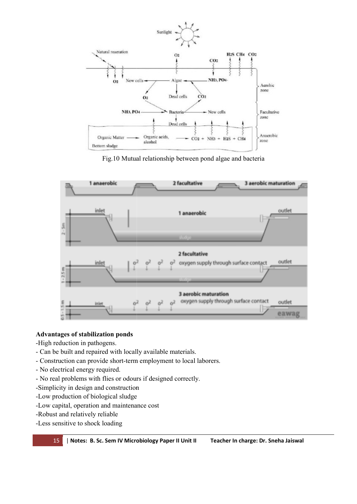

Fig.10 Mutual relationship between pond algae and bacteria



# **Advantages of stabilization ponds**

- -High reduction in pathogens.
- Can be built and repaired with locally available materials.
- Construction can provide short-term employment to local laborers.
- No electrical energy required.
- No real problems with flies or odours if designed correctly.
- -Simplicity in design and construction
- -Low production of biological sludge
- -Simplicity in design and construction<br>-Low production of biological sludge<br>-Low capital, operation and maintenance cost
- -Robust and relatively reliable
- -Less sensitive to shock loading

15 | **Notes: B. Sc. Sem IV Microbiology Paper II Unit II Teacher In charge: Dr. Sneha Jaiswal**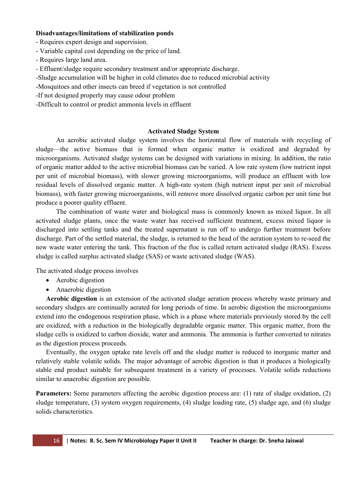#### **Disadvantages/limitations of stabilization ponds**

- Requires expert design and supervision.
- Variable capital cost depending on the price of land.
- Requires large land area.
- Effluent/sludge require secondary treatment and/or appropriate discharge.
- -Sludge accumulation will be higher in cold climates due to reduced microbial activity
- -Mosquitoes and other insects can breed if vegetation is not controlled
- -If not designed properly may cause odour problem
- -Difficult to control or predict ammonia levels in effluent

#### **Activated Sludge System**

An aerobic activated sludge system involves the horizontal flow of materials with recycling of sludge—the active biomass that is formed when organic matter is oxidized and degraded by microorganisms. Activated sludge systems can be designed with variations in mixing. In addition, the ratio of organic matter added to the active microbial biomass can be varied. A low rate system (low nutrient input per unit of microbial biomass), with slower growing microorganisms, will produce an effluent with low residual levels of dissolved organic matter. A high-rate system (high nutrient input per unit of microbial biomass), with faster growing microorganisms, will remove more dissolved organic carbon per unit time but produce a poorer quality effluent.

The combination of waste water and biological mass is commonly known as mixed liquor. In all activated sludge plants, once the waste water has received sufficient treatment, excess mixed liquor is discharged into settling tanks and the treated supernatant is run off to undergo further treatment before discharge. Part of the settled material, the sludge, is returned to the head of the aeration system to re-seed the new waste water entering the tank. This fraction of the floc is called return activated sludge (RAS). Excess sludge is called surplus activated sludge (SAS) or waste activated sludge (WAS).

The activated sludge process involves

- Aerobic digestion
- Anaerobic digestion

**Aerobic digestion** is an extension of the activated sludge aeration process whereby waste primary and secondary sludges are continually aerated for long periods of time. In aerobic digestion the microorganisms extend into the endogenous respiration phase, which is a phase where materials previously stored by the cell are oxidized, with a reduction in the biologically degradable organic matter. This organic matter, from the sludge cells is oxidized to carbon dioxide, water and ammonia. The ammonia is further converted to nitrates as the digestion process proceeds.

Eventually, the oxygen uptake rate levels off and the sludge matter is reduced to inorganic matter and relatively stable volatile solids. The major advantage of aerobic digestion is that it produces a biologically stable end product suitable for subsequent treatment in a variety of processes. Volatile solids reductions similar to anaerobic digestion are possible.

**Parameters:** Some parameters affecting the aerobic digestion process are: (1) rate of sludge oxidation, (2) sludge temperature, (3) system oxygen requirements, (4) sludge loading rate, (5) sludge age, and (6) sludge solids characteristics.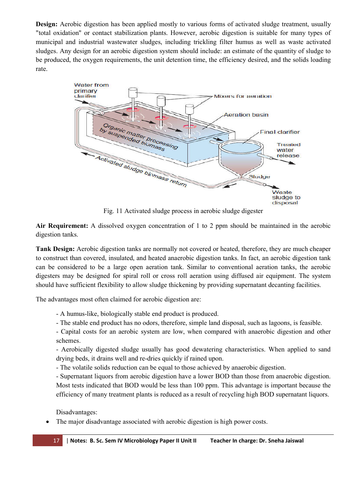**Design:** Aerobic digestion has been applied mostly to various forms of activated sludge treatment, usually "total oxidation" or contact stabilization plants. However, aerobic digestion is suitable for many types of municipal and industrial wastewater sludges, including trickling filter humus as well as waste activated sludges. Any design for an aerobic digestion system should include: an estimate of the quantity of sludge to be produced, the oxygen requirements, the unit detention time, the efficiency desired, and the solids loading rate.



Fig. 11 Activated sludge process in aerobic sludge digester

**Air Requirement:** A dissolved oxygen concentration of 1 to 2 ppm should be maintained in the aerobic digestion tanks.

**Tank Design:** Aerobic digestion tanks are normally not covered or heated, therefore, they are much cheaper to construct than covered, insulated, and heated anaerobic digestion tanks. In fact, an aerobic digestion tank can be considered to be a large open aeration tank. Similar to conventional aeration tanks, the aerobic digesters may be designed for spiral roll or cross roll aeration using diffused air equipment. The system should have sufficient flexibility to allow sludge thickening by providing supernatant decanting facilities.

The advantages most often claimed for aerobic digestion are:

- A humus-like, biologically stable end product is produced.

- The stable end product has no odors, therefore, simple land disposal, such as lagoons, is feasible.

- Capital costs for an aerobic system are low, when compared with anaerobic digestion and other schemes.

- Aerobically digested sludge usually has good dewatering characteristics. When applied to sand drying beds, it drains well and re-dries quickly if rained upon.

- The volatile solids reduction can be equal to those achieved by anaerobic digestion.

- Supernatant liquors from aerobic digestion have a lower BOD than those from anaerobic digestion. Most tests indicated that BOD would be less than 100 ppm. This advantage is important because the efficiency of many treatment plants is reduced as a result of recycling high BOD supernatant liquors.

Disadvantages:

The major disadvantage associated with aerobic digestion is high power costs.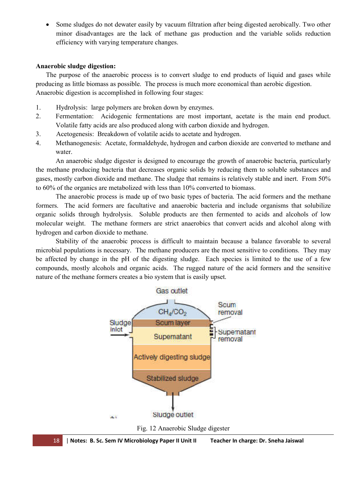Some sludges do not dewater easily by vacuum filtration after being digested aerobically. Two other minor disadvantages are the lack of methane gas production and the variable solids reduction efficiency with varying temperature changes.

#### **Anaerobic sludge digestion:**

The purpose of the anaerobic process is to convert sludge to end products of liquid and gases while producing as little biomass as possible. The process is much more economical than aerobic digestion. Anaerobic digestion is accomplished in following four stages:

- 1. Hydrolysis: large polymers are broken down by enzymes.
- 2. Fermentation: Acidogenic fermentations are most important, acetate is the main end product. Volatile fatty acids are also produced along with carbon dioxide and hydrogen.
- 3. Acetogenesis: Breakdown of volatile acids to acetate and hydrogen.
- 4. Methanogenesis: Acetate, formaldehyde, hydrogen and carbon dioxide are converted to methane and water.

An anaerobic sludge digester is designed to encourage the growth of anaerobic bacteria, particularly the methane producing bacteria that decreases organic solids by reducing them to soluble substances and gases, mostly carbon dioxide and methane. The sludge that remains is relatively stable and inert. From 50% to 60% of the organics are metabolized with less than 10% converted to biomass.

The anaerobic process is made up of two basic types of bacteria. The acid formers and the methane formers. The acid formers are facultative and anaerobic bacteria and include organisms that solubilize organic solids through hydrolysis. Soluble products are then fermented to acids and alcohols of low molecular weight. The methane formers are strict anaerobics that convert acids and alcohol along with hydrogen and carbon dioxide to methane.

Stability of the anaerobic process is difficult to maintain because a balance favorable to several microbial populations is necessary. The methane producers are the most sensitive to conditions. They may be affected by change in the pH of the digesting sludge. Each species is limited to the use of a few compounds, mostly alcohols and organic acids. The rugged nature of the acid formers and the sensitive nature of the methane formers creates a bio system that is easily upset.